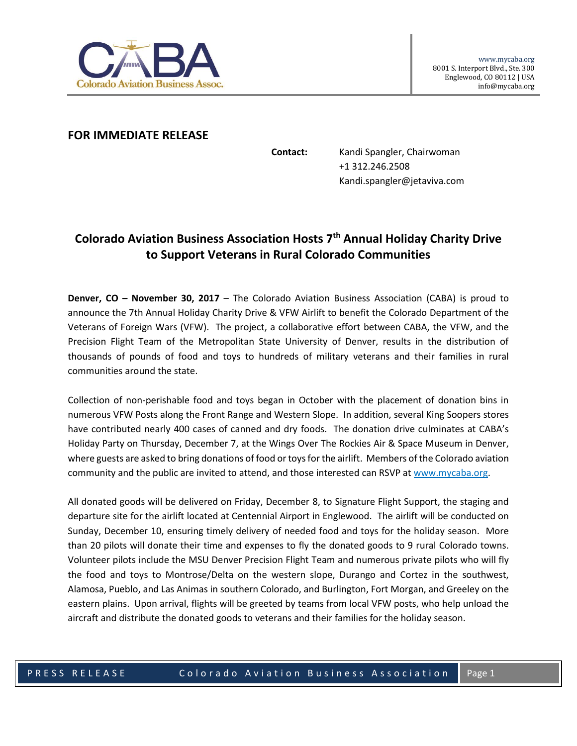

## **FOR IMMEDIATE RELEASE**

**Contact:** Kandi Spangler, Chairwoman +1 312.246.2508 Kandi.spangler@jetaviva.com

## **Colorado Aviation Business Association Hosts 7th Annual Holiday Charity Drive to Support Veterans in Rural Colorado Communities**

**Denver, CO – November 30, 2017** – The Colorado Aviation Business Association (CABA) is proud to announce the 7th Annual Holiday Charity Drive & VFW Airlift to benefit the Colorado Department of the Veterans of Foreign Wars (VFW). The project, a collaborative effort between CABA, the VFW, and the Precision Flight Team of the Metropolitan State University of Denver, results in the distribution of thousands of pounds of food and toys to hundreds of military veterans and their families in rural communities around the state.

Collection of non-perishable food and toys began in October with the placement of donation bins in numerous VFW Posts along the Front Range and Western Slope. In addition, several King Soopers stores have contributed nearly 400 cases of canned and dry foods. The donation drive culminates at CABA's Holiday Party on Thursday, December 7, at the Wings Over The Rockies Air & Space Museum in Denver, where guests are asked to bring donations of food or toys for the airlift. Members of the Colorado aviation community and the public are invited to attend, and those interested can RSVP at www.mycaba.org.

All donated goods will be delivered on Friday, December 8, to Signature Flight Support, the staging and departure site for the airlift located at Centennial Airport in Englewood. The airlift will be conducted on Sunday, December 10, ensuring timely delivery of needed food and toys for the holiday season. More than 20 pilots will donate their time and expenses to fly the donated goods to 9 rural Colorado towns. Volunteer pilots include the MSU Denver Precision Flight Team and numerous private pilots who will fly the food and toys to Montrose/Delta on the western slope, Durango and Cortez in the southwest, Alamosa, Pueblo, and Las Animas in southern Colorado, and Burlington, Fort Morgan, and Greeley on the eastern plains. Upon arrival, flights will be greeted by teams from local VFW posts, who help unload the aircraft and distribute the donated goods to veterans and their families for the holiday season.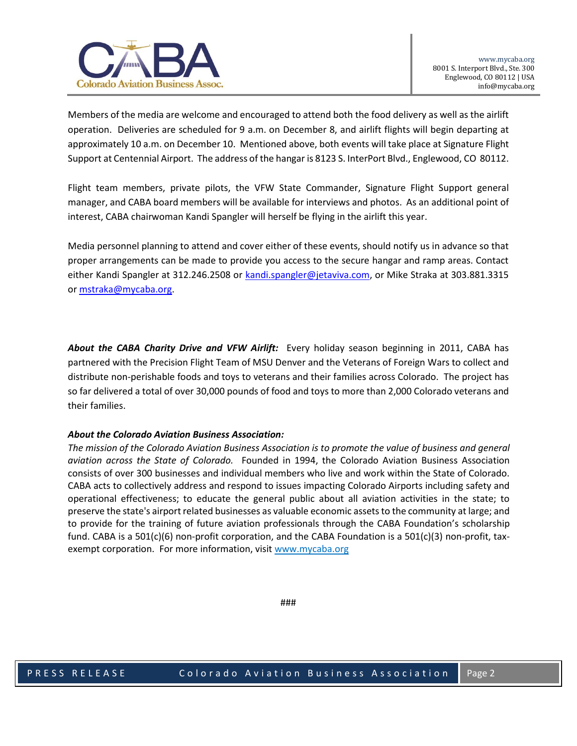

Members of the media are welcome and encouraged to attend both the food delivery as well as the airlift operation. Deliveries are scheduled for 9 a.m. on December 8, and airlift flights will begin departing at approximately 10 a.m. on December 10. Mentioned above, both events will take place at Signature Flight Support at Centennial Airport. The address of the hangar is 8123 S. InterPort Blvd., Englewood, CO 80112.

Flight team members, private pilots, the VFW State Commander, Signature Flight Support general manager, and CABA board members will be available for interviews and photos. As an additional point of interest, CABA chairwoman Kandi Spangler will herself be flying in the airlift this year.

Media personnel planning to attend and cover either of these events, should notify us in advance so that proper arrangements can be made to provide you access to the secure hangar and ramp areas. Contact either Kandi Spangler at 312.246.2508 or [kandi.spangler@jetaviva.com,](mailto:kandi.spangler@jetaviva.com) or Mike Straka at 303.881.3315 or [mstraka@mycaba.org.](mailto:mstraka@mycaba.org)

*About the CABA Charity Drive and VFW Airlift:* Every holiday season beginning in 2011, CABA has partnered with the Precision Flight Team of MSU Denver and the Veterans of Foreign Wars to collect and distribute non-perishable foods and toys to veterans and their families across Colorado. The project has so far delivered a total of over 30,000 pounds of food and toys to more than 2,000 Colorado veterans and their families.

## *About the Colorado Aviation Business Association:*

*The mission of the Colorado Aviation Business Association is to promote the value of business and general aviation across the State of Colorado.* Founded in 1994, the Colorado Aviation Business Association consists of over 300 businesses and individual members who live and work within the State of Colorado. CABA acts to collectively address and respond to issues impacting Colorado Airports including safety and operational effectiveness; to educate the general public about all aviation activities in the state; to preserve the state's airport related businesses as valuable economic assets to the community at large; and to provide for the training of future aviation professionals through the CABA Foundation's scholarship fund. CABA is a 501(c)(6) non-profit corporation, and the CABA Foundation is a 501(c)(3) non-profit, taxexempt corporation. For more information, visit [www.mycaba.org](http://www.mycaba.org/)

###